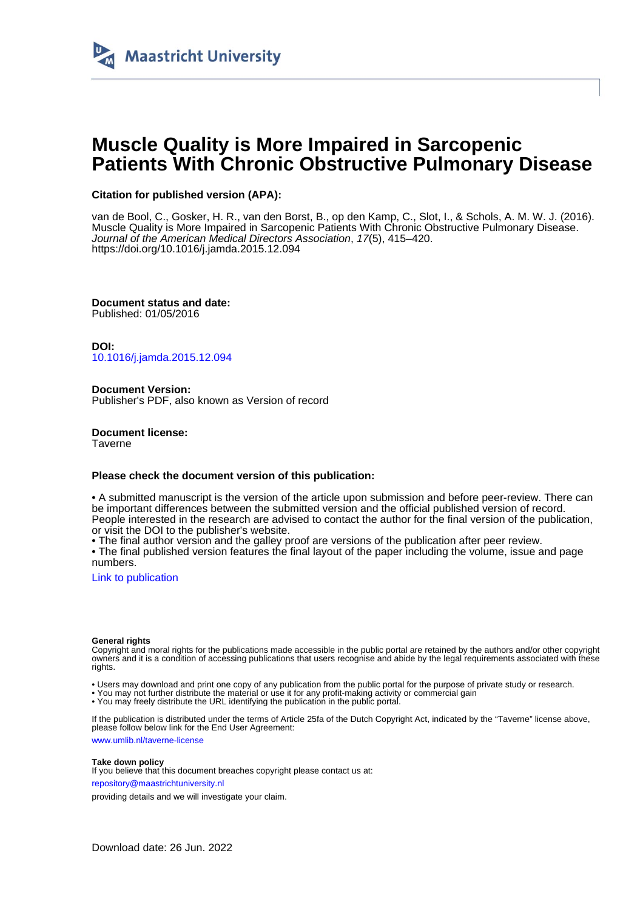

# **Muscle Quality is More Impaired in Sarcopenic Patients With Chronic Obstructive Pulmonary Disease**

## **Citation for published version (APA):**

van de Bool, C., Gosker, H. R., van den Borst, B., op den Kamp, C., Slot, I., & Schols, A. M. W. J. (2016). Muscle Quality is More Impaired in Sarcopenic Patients With Chronic Obstructive Pulmonary Disease. Journal of the American Medical Directors Association, 17(5), 415–420. <https://doi.org/10.1016/j.jamda.2015.12.094>

**Document status and date:** Published: 01/05/2016

**DOI:** [10.1016/j.jamda.2015.12.094](https://doi.org/10.1016/j.jamda.2015.12.094)

**Document Version:** Publisher's PDF, also known as Version of record

**Document license: Taverne** 

## **Please check the document version of this publication:**

• A submitted manuscript is the version of the article upon submission and before peer-review. There can be important differences between the submitted version and the official published version of record. People interested in the research are advised to contact the author for the final version of the publication, or visit the DOI to the publisher's website.

• The final author version and the galley proof are versions of the publication after peer review.

• The final published version features the final layout of the paper including the volume, issue and page numbers.

[Link to publication](https://cris.maastrichtuniversity.nl/en/publications/45eb7688-d276-4dd0-b0e2-9a92997e57ba)

#### **General rights**

Copyright and moral rights for the publications made accessible in the public portal are retained by the authors and/or other copyright owners and it is a condition of accessing publications that users recognise and abide by the legal requirements associated with these rights.

• Users may download and print one copy of any publication from the public portal for the purpose of private study or research.

• You may not further distribute the material or use it for any profit-making activity or commercial gain

• You may freely distribute the URL identifying the publication in the public portal.

If the publication is distributed under the terms of Article 25fa of the Dutch Copyright Act, indicated by the "Taverne" license above, please follow below link for the End User Agreement:

www.umlib.nl/taverne-license

#### **Take down policy**

If you believe that this document breaches copyright please contact us at: repository@maastrichtuniversity.nl

providing details and we will investigate your claim.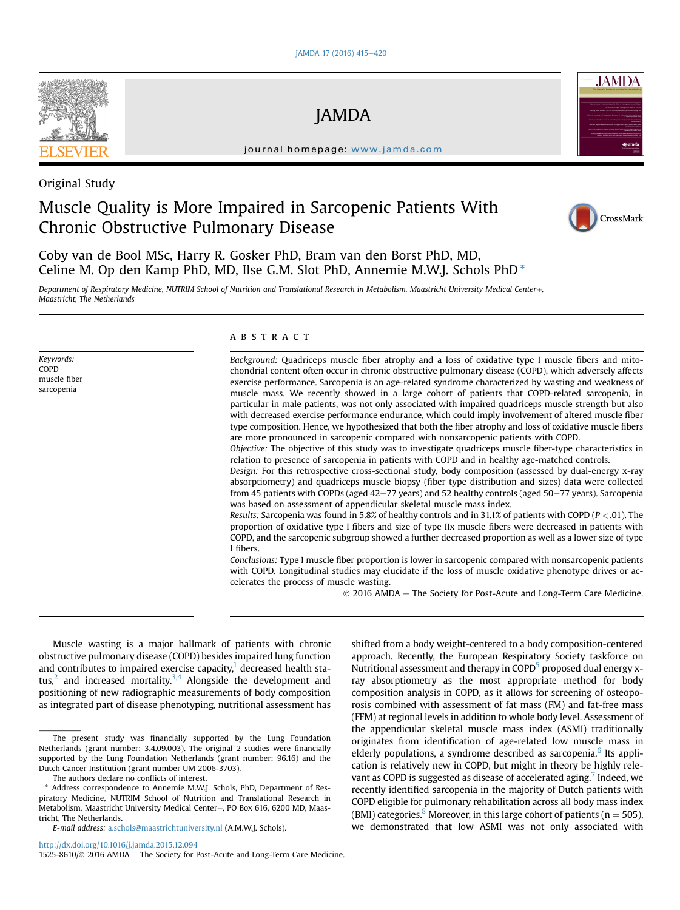JAMDA

journal homepage: [www.jamda.com](http://www.jamda.com)



# Original Study

Keywords: COPD muscle fiber sarcopenia

# Muscle Quality is More Impaired in Sarcopenic Patients With Chronic Obstructive Pulmonary Disease



Coby van de Bool MSc, Harry R. Gosker PhD, Bram van den Borst PhD, MD, Celine M. Op den Kamp PhD, MD, Ilse G.M. Slot PhD, Annemie M.W.J. Schols PhD \*

Department of Respiratory Medicine, NUTRIM School of Nutrition and Translational Research in Metabolism, Maastricht University Medical Center+, Maastricht, The Netherlands

ABSTRACT

Background: Quadriceps muscle fiber atrophy and a loss of oxidative type I muscle fibers and mitochondrial content often occur in chronic obstructive pulmonary disease (COPD), which adversely affects exercise performance. Sarcopenia is an age-related syndrome characterized by wasting and weakness of muscle mass. We recently showed in a large cohort of patients that COPD-related sarcopenia, in particular in male patients, was not only associated with impaired quadriceps muscle strength but also with decreased exercise performance endurance, which could imply involvement of altered muscle fiber type composition. Hence, we hypothesized that both the fiber atrophy and loss of oxidative muscle fibers are more pronounced in sarcopenic compared with nonsarcopenic patients with COPD.

Objective: The objective of this study was to investigate quadriceps muscle fiber-type characteristics in relation to presence of sarcopenia in patients with COPD and in healthy age-matched controls.

Design: For this retrospective cross-sectional study, body composition (assessed by dual-energy x-ray absorptiometry) and quadriceps muscle biopsy (fiber type distribution and sizes) data were collected from 45 patients with COPDs (aged  $42-77$  years) and 52 healthy controls (aged  $50-77$  years). Sarcopenia was based on assessment of appendicular skeletal muscle mass index.

Results: Sarcopenia was found in 5.8% of healthy controls and in 31.1% of patients with COPD ( $P < .01$ ). The proportion of oxidative type I fibers and size of type IIx muscle fibers were decreased in patients with COPD, and the sarcopenic subgroup showed a further decreased proportion as well as a lower size of type I fibers.

Conclusions: Type I muscle fiber proportion is lower in sarcopenic compared with nonsarcopenic patients with COPD. Longitudinal studies may elucidate if the loss of muscle oxidative phenotype drives or accelerates the process of muscle wasting.

2016 AMDA e The Society for Post-Acute and Long-Term Care Medicine.

Muscle wasting is a major hallmark of patients with chronic obstructive pulmonary disease (COPD) besides impaired lung function and contributes to impaired exercise capacity, $\frac{1}{1}$  decreased health status, $^2$  and increased mortality. $^{3,4}$  $^{3,4}$  $^{3,4}$  Alongside the development and positioning of new radiographic measurements of body composition as integrated part of disease phenotyping, nutritional assessment has

<http://dx.doi.org/10.1016/j.jamda.2015.12.094>

shifted from a body weight-centered to a body composition-centered approach. Recently, the European Respiratory Society taskforce on Nutritional assessment and therapy in COPD<sup>5</sup> proposed dual energy xray absorptiometry as the most appropriate method for body composition analysis in COPD, as it allows for screening of osteoporosis combined with assessment of fat mass (FM) and fat-free mass (FFM) at regional levels in addition to whole body level. Assessment of the appendicular skeletal muscle mass index (ASMI) traditionally originates from identification of age-related low muscle mass in elderly populations, a syndrome described as sarcopenia.<sup>6</sup> Its application is relatively new in COPD, but might in theory be highly rele-vant as COPD is suggested as disease of accelerated aging.<sup>[7](#page-5-0)</sup> Indeed, we recently identified sarcopenia in the majority of Dutch patients with COPD eligible for pulmonary rehabilitation across all body mass index (BMI) categories.<sup>8</sup> Moreover, in this large cohort of patients ( $n = 505$ ), we demonstrated that low ASMI was not only associated with

1525-8610/ 2016 AMDA - The Society for Post-Acute and Long-Term Care Medicine.

The present study was financially supported by the Lung Foundation Netherlands (grant number: 3.4.09.003). The original 2 studies were financially supported by the Lung Foundation Netherlands (grant number: 96.16) and the Dutch Cancer Institution (grant number UM 2006-3703).

The authors declare no conflicts of interest.

Address correspondence to Annemie M.W.J. Schols, PhD, Department of Respiratory Medicine, NUTRIM School of Nutrition and Translational Research in Metabolism, Maastricht University Medical Center+, PO Box 616, 6200 MD, Maastricht, The Netherlands.

E-mail address: [a.schols@maastrichtuniversity.nl](mailto:a.schols@maastrichtuniversity.nl) (A.M.W.J. Schols).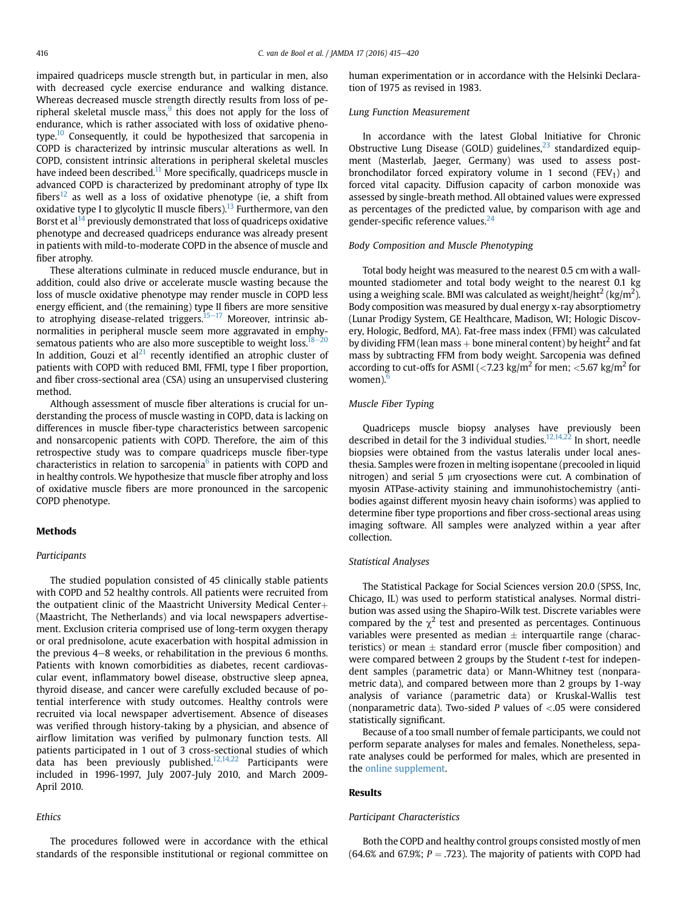impaired quadriceps muscle strength but, in particular in men, also with decreased cycle exercise endurance and walking distance. Whereas decreased muscle strength directly results from loss of peripheral skeletal muscle mass, $9$  this does not apply for the loss of endurance, which is rather associated with loss of oxidative phenotype[.10](#page-5-0) Consequently, it could be hypothesized that sarcopenia in COPD is characterized by intrinsic muscular alterations as well. In COPD, consistent intrinsic alterations in peripheral skeletal muscles have indeed been described.<sup>[11](#page-5-0)</sup> More specifically, quadriceps muscle in advanced COPD is characterized by predominant atrophy of type IIx fibers<sup>12</sup> as well as a loss of oxidative phenotype (ie, a shift from oxidative type I to glycolytic II muscle fibers).<sup>13</sup> Furthermore, van den Borst et  $al^{14}$  $al^{14}$  $al^{14}$  previously demonstrated that loss of quadriceps oxidative phenotype and decreased quadriceps endurance was already present in patients with mild-to-moderate COPD in the absence of muscle and fiber atrophy.

These alterations culminate in reduced muscle endurance, but in addition, could also drive or accelerate muscle wasting because the loss of muscle oxidative phenotype may render muscle in COPD less energy efficient, and (the remaining) type II fibers are more sensitive to atrophying disease-related triggers.<sup>15-[17](#page-5-0)</sup> Moreover, intrinsic abnormalities in peripheral muscle seem more aggravated in emphysematous patients who are also more susceptible to weight loss.  $18-20$  $18-20$ In addition, Gouzi et  $al^{21}$  recently identified an atrophic cluster of patients with COPD with reduced BMI, FFMI, type I fiber proportion, and fiber cross-sectional area (CSA) using an unsupervised clustering method.

Although assessment of muscle fiber alterations is crucial for understanding the process of muscle wasting in COPD, data is lacking on differences in muscle fiber-type characteristics between sarcopenic and nonsarcopenic patients with COPD. Therefore, the aim of this retrospective study was to compare quadriceps muscle fiber-type characteristics in relation to sarcopenia $<sup>6</sup>$  $<sup>6</sup>$  $<sup>6</sup>$  in patients with COPD and</sup> in healthy controls. We hypothesize that muscle fiber atrophy and loss of oxidative muscle fibers are more pronounced in the sarcopenic COPD phenotype.

#### **Methods**

#### Participants

The studied population consisted of 45 clinically stable patients with COPD and 52 healthy controls. All patients were recruited from the outpatient clinic of the Maastricht University Medical Center $+$ (Maastricht, The Netherlands) and via local newspapers advertisement. Exclusion criteria comprised use of long-term oxygen therapy or oral prednisolone, acute exacerbation with hospital admission in the previous  $4-8$  weeks, or rehabilitation in the previous 6 months. Patients with known comorbidities as diabetes, recent cardiovascular event, inflammatory bowel disease, obstructive sleep apnea, thyroid disease, and cancer were carefully excluded because of potential interference with study outcomes. Healthy controls were recruited via local newspaper advertisement. Absence of diseases was verified through history-taking by a physician, and absence of airflow limitation was verified by pulmonary function tests. All patients participated in 1 out of 3 cross-sectional studies of which data has been previously published. $12,14,22$  Participants were included in 1996-1997, July 2007-July 2010, and March 2009- April 2010.

#### Ethics

The procedures followed were in accordance with the ethical standards of the responsible institutional or regional committee on human experimentation or in accordance with the Helsinki Declaration of 1975 as revised in 1983.

#### Lung Function Measurement

In accordance with the latest Global Initiative for Chronic Obstructive Lung Disease (GOLD) guidelines, $^{23}$  $^{23}$  $^{23}$  standardized equipment (Masterlab, Jaeger, Germany) was used to assess postbronchodilator forced expiratory volume in 1 second (FEV<sub>1</sub>) and forced vital capacity. Diffusion capacity of carbon monoxide was assessed by single-breath method. All obtained values were expressed as percentages of the predicted value, by comparison with age and gender-specific reference values.<sup>[24](#page-5-0)</sup>

#### Body Composition and Muscle Phenotyping

Total body height was measured to the nearest 0.5 cm with a wallmounted stadiometer and total body weight to the nearest 0.1 kg using a weighing scale. BMI was calculated as weight/height $^2$  (kg/m $^2$ ). Body composition was measured by dual energy x-ray absorptiometry (Lunar Prodigy System, GE Healthcare, Madison, WI; Hologic Discovery, Hologic, Bedford, MA). Fat-free mass index (FFMI) was calculated by dividing FFM (lean mass  $+$  bone mineral content) by height<sup>2</sup> and fat mass by subtracting FFM from body weight. Sarcopenia was defined according to cut-offs for ASMI ( $\langle 7.23 \text{ kg/m}^2$  for men;  $\langle 5.67 \text{ kg/m}^2$  for women). $<sup>6</sup>$ </sup>

### Muscle Fiber Typing

Quadriceps muscle biopsy analyses have previously been described in detail for the 3 individual studies.<sup>12,14,22</sup> In short, needle biopsies were obtained from the vastus lateralis under local anesthesia. Samples were frozen in melting isopentane (precooled in liquid nitrogen) and serial 5  $\mu$ m cryosections were cut. A combination of myosin ATPase-activity staining and immunohistochemistry (antibodies against different myosin heavy chain isoforms) was applied to determine fiber type proportions and fiber cross-sectional areas using imaging software. All samples were analyzed within a year after collection.

#### Statistical Analyses

The Statistical Package for Social Sciences version 20.0 (SPSS, Inc, Chicago, IL) was used to perform statistical analyses. Normal distribution was assed using the Shapiro-Wilk test. Discrete variables were compared by the  $\chi^2$  test and presented as percentages. Continuous variables were presented as median  $\pm$  interquartile range (characteristics) or mean  $\pm$  standard error (muscle fiber composition) and were compared between 2 groups by the Student t-test for independent samples (parametric data) or Mann-Whitney test (nonparametric data), and compared between more than 2 groups by 1-way analysis of variance (parametric data) or Kruskal-Wallis test (nonparametric data). Two-sided  $P$  values of <.05 were considered statistically significant.

Because of a too small number of female participants, we could not perform separate analyses for males and females. Nonetheless, separate analyses could be performed for males, which are presented in the online supplement.

#### Results

#### Participant Characteristics

Both the COPD and healthy control groups consisted mostly of men (64.6% and 67.9%;  $P = .723$ ). The majority of patients with COPD had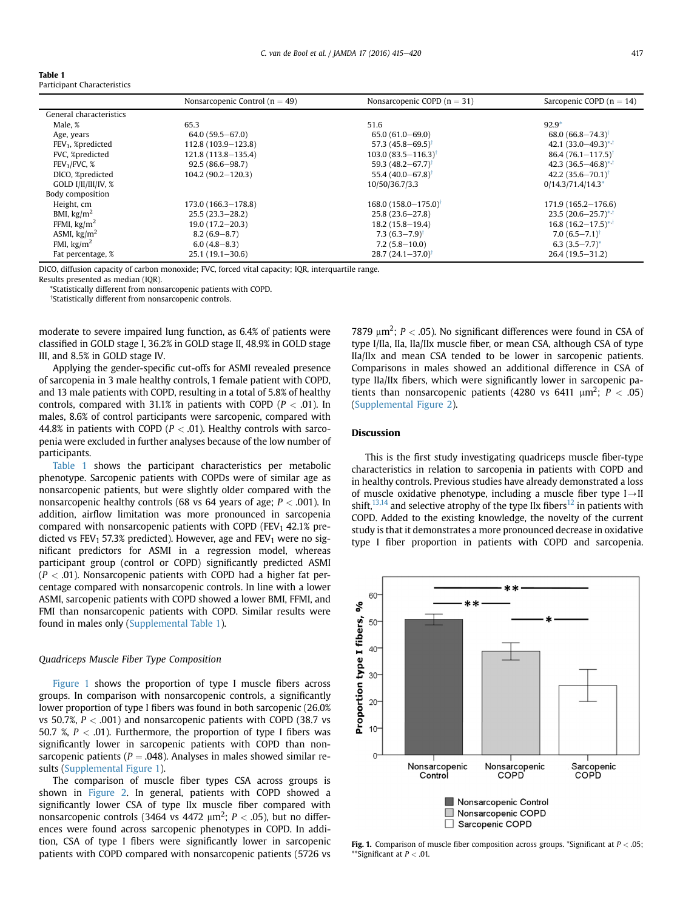#### Table 1 Participant Characteristics

|                          | Nonsarcopenic Control ( $n = 49$ ) | Nonsarcopenic COPD $(n = 31)$     | Sarcopenic COPD ( $n = 14$ )     |
|--------------------------|------------------------------------|-----------------------------------|----------------------------------|
| General characteristics  |                                    |                                   |                                  |
| Male, %                  | 65.3                               | 51.6                              | $92.9*$                          |
| Age, years               | $64.0(59.5 - 67.0)$                | $65.0(61.0 - 69.0)$               | $68.0 (66.8 - 74.3)$             |
| $FEV1$ , %predicted      | 112.8 (103.9-123.8)                | 57.3 $(45.8 - 69.5)$              | 42.1 $(33.0 - 49.3)^{*,+}$       |
| FVC, %predicted          | 121.8 (113.8-135.4)                | $103.0(83.5 - 116.3)$             | $86.4(76.1 - 117.5)$             |
| FEV <sub>1</sub> /FVC, % | $92.5(86.6 - 98.7)$                | 59.3 $(48.2 - 67.7)$              | 42.3 $(36.5 - 46.8)^{+.1}$       |
| DICO, %predicted         | $104.2(90.2-120.3)$                | 55.4 $(40.0 - 67.8)$ <sup>†</sup> | $42.2(35.6 - 70.1)^{\dagger}$    |
| GOLD I/II/III/IV, %      |                                    | 10/50/36.7/3.3                    | $0/14.3/71.4/14.3*$              |
| Body composition         |                                    |                                   |                                  |
| Height, cm               | 173.0 (166.3-178.8)                | $168.0(158.0 - 175.0)$            | $171.9(165.2 - 176.6)$           |
| BMI, $\text{kg/m}^2$     | $25.5(23.3 - 28.2)$                | $25.8(23.6 - 27.8)$               | $23.5(20.6-25.7)$ * <sup>1</sup> |
| FFMI, $\text{kg/m}^2$    | $19.0(17.2 - 20.3)$                | $18.2(15.8 - 19.4)$               | $16.8(16.2-17.5)$ <sup>*,†</sup> |
| ASMI, $\text{kg/m}^2$    | $8.2(6.9 - 8.7)$                   | $7.3(6.3 - 7.9)$ <sup>†</sup>     | $7.0(6.5 - 7.1)$ <sup>t</sup>    |
| FMI, $\text{kg/m}^2$     | $6.0(4.8 - 8.3)$                   | $7.2(5.8 - 10.0)$                 | $6.3(3.5 - 7.7)^*$               |
| Fat percentage, %        | $25.1(19.1 - 30.6)$                | $28.7(24.1-37.0)$ <sup>†</sup>    | $26.4(19.5-31.2)$                |

DlCO, diffusion capacity of carbon monoxide; FVC, forced vital capacity; IQR, interquartile range.

Results presented as median (IQR).

\*Statistically different from nonsarcopenic patients with COPD.

<sup>†</sup>Statistically different from nonsarcopenic controls.

moderate to severe impaired lung function, as 6.4% of patients were classified in GOLD stage I, 36.2% in GOLD stage II, 48.9% in GOLD stage III, and 8.5% in GOLD stage IV.

Applying the gender-specific cut-offs for ASMI revealed presence of sarcopenia in 3 male healthy controls, 1 female patient with COPD, and 13 male patients with COPD, resulting in a total of 5.8% of healthy controls, compared with 31.1% in patients with COPD ( $P < .01$ ). In males, 8.6% of control participants were sarcopenic, compared with 44.8% in patients with COPD ( $P < .01$ ). Healthy controls with sarcopenia were excluded in further analyses because of the low number of participants.

Table 1 shows the participant characteristics per metabolic phenotype. Sarcopenic patients with COPDs were of similar age as nonsarcopenic patients, but were slightly older compared with the nonsarcopenic healthy controls (68 vs 64 years of age;  $P < .001$ ). In addition, airflow limitation was more pronounced in sarcopenia compared with nonsarcopenic patients with COPD (FEV<sub>1</sub> 42.1% predicted vs FEV<sub>1</sub> 57.3% predicted). However, age and FEV<sub>1</sub> were no significant predictors for ASMI in a regression model, whereas participant group (control or COPD) significantly predicted ASMI  $(P < .01)$ . Nonsarcopenic patients with COPD had a higher fat percentage compared with nonsarcopenic controls. In line with a lower ASMI, sarcopenic patients with COPD showed a lower BMI, FFMI, and FMI than nonsarcopenic patients with COPD. Similar results were found in males only (Supplemental Table 1).

#### Quadriceps Muscle Fiber Type Composition

Figure 1 shows the proportion of type I muscle fibers across groups. In comparison with nonsarcopenic controls, a significantly lower proportion of type I fibers was found in both sarcopenic (26.0% vs 50.7%,  $P < .001$ ) and nonsarcopenic patients with COPD (38.7 vs 50.7 %,  $P < .01$ ). Furthermore, the proportion of type I fibers was significantly lower in sarcopenic patients with COPD than nonsarcopenic patients ( $P = .048$ ). Analyses in males showed similar results (Supplemental Figure 1).

The comparison of muscle fiber types CSA across groups is shown in [Figure 2.](#page-4-0) In general, patients with COPD showed a significantly lower CSA of type IIx muscle fiber compared with nonsarcopenic controls (3464 vs 4472  $\mu$ m<sup>2</sup>; P < .05), but no differences were found across sarcopenic phenotypes in COPD. In addition, CSA of type I fibers were significantly lower in sarcopenic patients with COPD compared with nonsarcopenic patients (5726 vs

7879  $\mu$ m<sup>2</sup>; P < .05). No significant differences were found in CSA of type I/IIa, IIa, IIa/IIx muscle fiber, or mean CSA, although CSA of type IIa/IIx and mean CSA tended to be lower in sarcopenic patients. Comparisons in males showed an additional difference in CSA of type IIa/IIx fibers, which were significantly lower in sarcopenic patients than nonsarcopenic patients (4280 vs 6411  $\mu$ m<sup>2</sup>; P < .05) (Supplemental Figure 2).

#### Discussion

This is the first study investigating quadriceps muscle fiber-type characteristics in relation to sarcopenia in patients with COPD and in healthy controls. Previous studies have already demonstrated a loss of muscle oxidative phenotype, including a muscle fiber type  $I \rightarrow II$ shift,<sup>13,14</sup> and selective atrophy of the type IIx fibers<sup>[12](#page-5-0)</sup> in patients with COPD. Added to the existing knowledge, the novelty of the current study is that it demonstrates a more pronounced decrease in oxidative type I fiber proportion in patients with COPD and sarcopenia.



**Fig. 1.** Comparison of muscle fiber composition across groups. \*Significant at  $P < .05$ ; \*\*Significant at  $P < .01$ .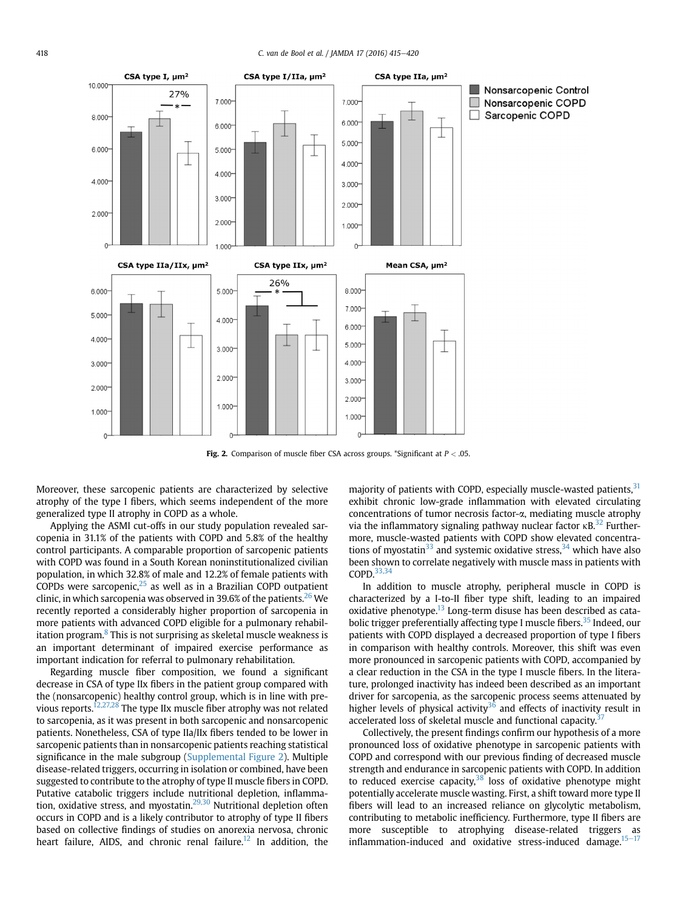<span id="page-4-0"></span>

Fig. 2. Comparison of muscle fiber CSA across groups. \*Significant at  $P < .05$ .

Moreover, these sarcopenic patients are characterized by selective atrophy of the type I fibers, which seems independent of the more generalized type II atrophy in COPD as a whole.

Applying the ASMI cut-offs in our study population revealed sarcopenia in 31.1% of the patients with COPD and 5.8% of the healthy control participants. A comparable proportion of sarcopenic patients with COPD was found in a South Korean noninstitutionalized civilian population, in which 32.8% of male and 12.2% of female patients with  $COPDs$  were sarcopenic, $25$  as well as in a Brazilian COPD outpatient clinic, in which sarcopenia was observed in 39.6% of the patients.<sup>[26](#page-5-0)</sup> We recently reported a considerably higher proportion of sarcopenia in more patients with advanced COPD eligible for a pulmonary rehabil-itation program.<sup>[8](#page-5-0)</sup> This is not surprising as skeletal muscle weakness is an important determinant of impaired exercise performance as important indication for referral to pulmonary rehabilitation.

Regarding muscle fiber composition, we found a significant decrease in CSA of type IIx fibers in the patient group compared with the (nonsarcopenic) healthy control group, which is in line with pre-vious reports.<sup>[12,27,28](#page-5-0)</sup> The type IIx muscle fiber atrophy was not related to sarcopenia, as it was present in both sarcopenic and nonsarcopenic patients. Nonetheless, CSA of type IIa/IIx fibers tended to be lower in sarcopenic patients than in nonsarcopenic patients reaching statistical significance in the male subgroup (Supplemental Figure 2). Multiple disease-related triggers, occurring in isolation or combined, have been suggested to contribute to the atrophy of type II muscle fibers in COPD. Putative catabolic triggers include nutritional depletion, inflamma-tion, oxidative stress, and myostatin.<sup>[29,30](#page-5-0)</sup> Nutritional depletion often occurs in COPD and is a likely contributor to atrophy of type II fibers based on collective findings of studies on anorexia nervosa, chronic heart failure, AIDS, and chronic renal failure.<sup>[12](#page-5-0)</sup> In addition, the

majority of patients with COPD, especially muscle-wasted patients, [31](#page-5-0) exhibit chronic low-grade inflammation with elevated circulating concentrations of tumor necrosis factor-a, mediating muscle atrophy via the inflammatory signaling pathway nuclear factor  $\kappa$ B.<sup>32</sup> Furthermore, muscle-wasted patients with COPD show elevated concentrations of myostatin<sup>33</sup> and systemic oxidative stress,  $34$  which have also been shown to correlate negatively with muscle mass in patients with COPD.[33,34](#page-5-0)

In addition to muscle atrophy, peripheral muscle in COPD is characterized by a I-to-II fiber type shift, leading to an impaired oxidative phenotype. $^{13}$  $^{13}$  $^{13}$  Long-term disuse has been described as cata-bolic trigger preferentially affecting type I muscle fibers.<sup>[35](#page-5-0)</sup> Indeed, our patients with COPD displayed a decreased proportion of type I fibers in comparison with healthy controls. Moreover, this shift was even more pronounced in sarcopenic patients with COPD, accompanied by a clear reduction in the CSA in the type I muscle fibers. In the literature, prolonged inactivity has indeed been described as an important driver for sarcopenia, as the sarcopenic process seems attenuated by higher levels of physical activity<sup>[36](#page-5-0)</sup> and effects of inactivity result in accelerated loss of skeletal muscle and functional capacity.<sup>3</sup>

Collectively, the present findings confirm our hypothesis of a more pronounced loss of oxidative phenotype in sarcopenic patients with COPD and correspond with our previous finding of decreased muscle strength and endurance in sarcopenic patients with COPD. In addition to reduced exercise capacity, $38$  loss of oxidative phenotype might potentially accelerate muscle wasting. First, a shift toward more type II fibers will lead to an increased reliance on glycolytic metabolism, contributing to metabolic inefficiency. Furthermore, type II fibers are more susceptible to atrophying disease-related triggers as  $inflammation-induced$  and oxidative stress-induced damage.<sup>[15](#page-5-0)-[17](#page-5-0)</sup>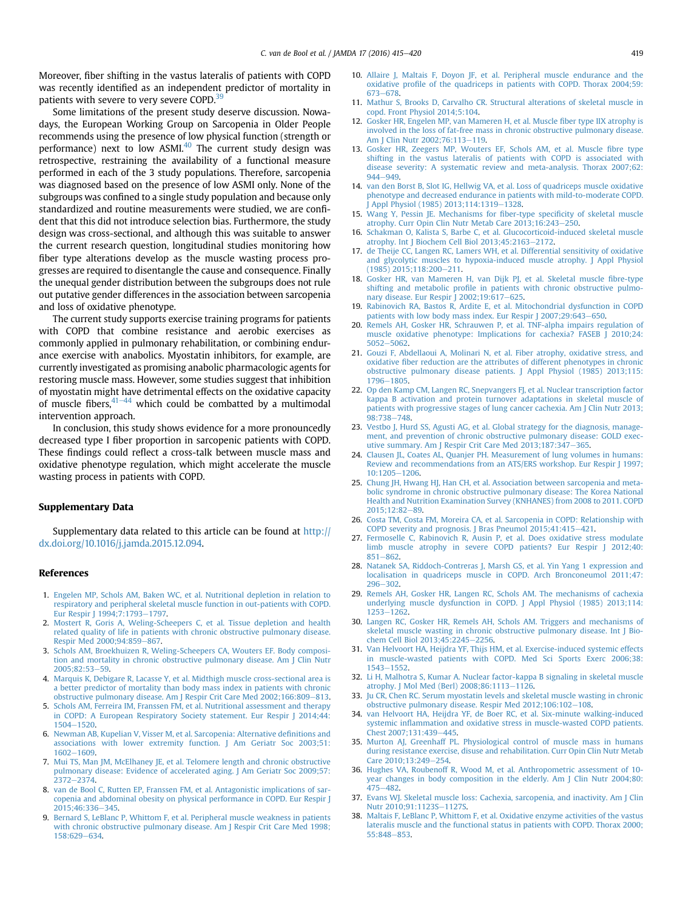<span id="page-5-0"></span>Moreover, fiber shifting in the vastus lateralis of patients with COPD was recently identified as an independent predictor of mortality in patients with severe to very severe COPD.<sup>[39](#page-6-0)</sup>

Some limitations of the present study deserve discussion. Nowadays, the European Working Group on Sarcopenia in Older People recommends using the presence of low physical function (strength or performance) next to low  $ASMI<sup>40</sup>$  The current study design was retrospective, restraining the availability of a functional measure performed in each of the 3 study populations. Therefore, sarcopenia was diagnosed based on the presence of low ASMI only. None of the subgroups was confined to a single study population and because only standardized and routine measurements were studied, we are confident that this did not introduce selection bias. Furthermore, the study design was cross-sectional, and although this was suitable to answer the current research question, longitudinal studies monitoring how fiber type alterations develop as the muscle wasting process progresses are required to disentangle the cause and consequence. Finally the unequal gender distribution between the subgroups does not rule out putative gender differences in the association between sarcopenia and loss of oxidative phenotype.

The current study supports exercise training programs for patients with COPD that combine resistance and aerobic exercises as commonly applied in pulmonary rehabilitation, or combining endurance exercise with anabolics. Myostatin inhibitors, for example, are currently investigated as promising anabolic pharmacologic agents for restoring muscle mass. However, some studies suggest that inhibition of myostatin might have detrimental effects on the oxidative capacity of muscle fibers, $41-44$  $41-44$  $41-44$  which could be combatted by a multimodal intervention approach.

In conclusion, this study shows evidence for a more pronouncedly decreased type I fiber proportion in sarcopenic patients with COPD. These findings could reflect a cross-talk between muscle mass and oxidative phenotype regulation, which might accelerate the muscle wasting process in patients with COPD.

#### Supplementary Data

Supplementary data related to this article can be found at [http://](http://dx.doi.org/10.1016/j.jamda.2015.12.094) [dx.doi.org/10.1016/j.jamda.2015.12.094.](http://dx.doi.org/10.1016/j.jamda.2015.12.094)

#### References

- 1. [Engelen MP, Schols AM, Baken WC, et al. Nutritional depletion in relation to](http://refhub.elsevier.com/S1525-8610(15)00853-1/sref1) [respiratory and peripheral skeletal muscle function in out-patients with COPD.](http://refhub.elsevier.com/S1525-8610(15)00853-1/sref1) Eur Respir I 1994:7:1793-[1797](http://refhub.elsevier.com/S1525-8610(15)00853-1/sref1).
- 2. [Mostert R, Goris A, Weling-Scheepers C, et al. Tissue depletion and health](http://refhub.elsevier.com/S1525-8610(15)00853-1/sref2) [related quality of life in patients with chronic obstructive pulmonary disease.](http://refhub.elsevier.com/S1525-8610(15)00853-1/sref2) Respir Med 2000:94:859-[867](http://refhub.elsevier.com/S1525-8610(15)00853-1/sref2).
- 3. [Schols AM, Broekhuizen R, Weling-Scheepers CA, Wouters EF. Body composi](http://refhub.elsevier.com/S1525-8610(15)00853-1/sref3)[tion and mortality in chronic obstructive pulmonary disease. Am J Clin Nutr](http://refhub.elsevier.com/S1525-8610(15)00853-1/sref3)  $2005:82:53 - 59$
- 4. [Marquis K, Debigare R, Lacasse Y, et al. Midthigh muscle cross-sectional area is](http://refhub.elsevier.com/S1525-8610(15)00853-1/sref4) [a better predictor of mortality than body mass index in patients with chronic](http://refhub.elsevier.com/S1525-8610(15)00853-1/sref4) [obstructive pulmonary disease. Am J Respir Crit Care Med 2002;166:809](http://refhub.elsevier.com/S1525-8610(15)00853-1/sref4)-[813](http://refhub.elsevier.com/S1525-8610(15)00853-1/sref4).
- 5. [Schols AM, Ferreira IM, Franssen FM, et al. Nutritional assessment and therapy](http://refhub.elsevier.com/S1525-8610(15)00853-1/sref5) [in COPD: A European Respiratory Society statement. Eur Respir J 2014;44:](http://refhub.elsevier.com/S1525-8610(15)00853-1/sref5) [1504](http://refhub.elsevier.com/S1525-8610(15)00853-1/sref5)-[1520.](http://refhub.elsevier.com/S1525-8610(15)00853-1/sref5)
- 6. [Newman AB, Kupelian V, Visser M, et al. Sarcopenia: Alternative de](http://refhub.elsevier.com/S1525-8610(15)00853-1/sref6)finitions and [associations with lower extremity function. J Am Geriatr Soc 2003;51:](http://refhub.elsevier.com/S1525-8610(15)00853-1/sref6) [1602](http://refhub.elsevier.com/S1525-8610(15)00853-1/sref6)-[1609.](http://refhub.elsevier.com/S1525-8610(15)00853-1/sref6)
- 7. [Mui TS, Man JM, McElhaney JE, et al. Telomere length and chronic obstructive](http://refhub.elsevier.com/S1525-8610(15)00853-1/sref7) [pulmonary disease: Evidence of accelerated aging. J Am Geriatr Soc 2009;57:](http://refhub.elsevier.com/S1525-8610(15)00853-1/sref7)  $2372 - 2374$  $2372 - 2374$
- 8. [van de Bool C, Rutten EP, Franssen FM, et al. Antagonistic implications of sar](http://refhub.elsevier.com/S1525-8610(15)00853-1/sref8)[copenia and abdominal obesity on physical performance in COPD. Eur Respir J](http://refhub.elsevier.com/S1525-8610(15)00853-1/sref8) 2015:46:336-[345](http://refhub.elsevier.com/S1525-8610(15)00853-1/sref8).
- 9. [Bernard S, LeBlanc P, Whittom F, et al. Peripheral muscle weakness in patients](http://refhub.elsevier.com/S1525-8610(15)00853-1/sref9) [with chronic obstructive pulmonary disease. Am J Respir Crit Care Med 1998;](http://refhub.elsevier.com/S1525-8610(15)00853-1/sref9) [158:629](http://refhub.elsevier.com/S1525-8610(15)00853-1/sref9)-[634.](http://refhub.elsevier.com/S1525-8610(15)00853-1/sref9)
- 10. [Allaire J, Maltais F, Doyon JF, et al. Peripheral muscle endurance and the](http://refhub.elsevier.com/S1525-8610(15)00853-1/sref10) oxidative profi[le of the quadriceps in patients with COPD. Thorax 2004;59:](http://refhub.elsevier.com/S1525-8610(15)00853-1/sref10) [673](http://refhub.elsevier.com/S1525-8610(15)00853-1/sref10)-[678](http://refhub.elsevier.com/S1525-8610(15)00853-1/sref10).
- 11. [Mathur S, Brooks D, Carvalho CR. Structural alterations of skeletal muscle in](http://refhub.elsevier.com/S1525-8610(15)00853-1/sref11) [copd. Front Physiol 2014;5:104](http://refhub.elsevier.com/S1525-8610(15)00853-1/sref11).
- 12. [Gosker HR, Engelen MP, van Mameren H, et al. Muscle](http://refhub.elsevier.com/S1525-8610(15)00853-1/sref12) fiber type IIX atrophy is [involved in the loss of fat-free mass in chronic obstructive pulmonary disease.](http://refhub.elsevier.com/S1525-8610(15)00853-1/sref12) [Am J Clin Nutr 2002;76:113](http://refhub.elsevier.com/S1525-8610(15)00853-1/sref12)-[119.](http://refhub.elsevier.com/S1525-8610(15)00853-1/sref12)
- 13. [Gosker HR, Zeegers MP, Wouters EF, Schols AM, et al. Muscle](http://refhub.elsevier.com/S1525-8610(15)00853-1/sref13) fibre type [shifting in the vastus lateralis of patients with COPD is associated with](http://refhub.elsevier.com/S1525-8610(15)00853-1/sref13) [disease severity: A systematic review and meta-analysis. Thorax 2007;62:](http://refhub.elsevier.com/S1525-8610(15)00853-1/sref13) [944](http://refhub.elsevier.com/S1525-8610(15)00853-1/sref13)-[949](http://refhub.elsevier.com/S1525-8610(15)00853-1/sref13).
- 14. [van den Borst B, Slot IG, Hellwig VA, et al. Loss of quadriceps muscle oxidative](http://refhub.elsevier.com/S1525-8610(15)00853-1/sref14) [phenotype and decreased endurance in patients with mild-to-moderate COPD.](http://refhub.elsevier.com/S1525-8610(15)00853-1/sref14) [J Appl Physiol \(1985\) 2013;114:1319](http://refhub.elsevier.com/S1525-8610(15)00853-1/sref14)-[1328.](http://refhub.elsevier.com/S1525-8610(15)00853-1/sref14)
- 15. [Wang Y, Pessin JE. Mechanisms for](http://refhub.elsevier.com/S1525-8610(15)00853-1/sref15) fiber-type specificity of skeletal muscle [atrophy. Curr Opin Clin Nutr Metab Care 2013;16:243](http://refhub.elsevier.com/S1525-8610(15)00853-1/sref15)-[250.](http://refhub.elsevier.com/S1525-8610(15)00853-1/sref15)
- 16. [Schakman O, Kalista S, Barbe C, et al. Glucocorticoid-induced skeletal muscle](http://refhub.elsevier.com/S1525-8610(15)00853-1/sref16) [atrophy. Int J Biochem Cell Biol 2013;45:2163](http://refhub.elsevier.com/S1525-8610(15)00853-1/sref16)-[2172](http://refhub.elsevier.com/S1525-8610(15)00853-1/sref16).
- 17. [de Theije CC, Langen RC, Lamers WH, et al. Differential sensitivity of oxidative](http://refhub.elsevier.com/S1525-8610(15)00853-1/sref17) [and glycolytic muscles to hypoxia-induced muscle atrophy. J Appl Physiol](http://refhub.elsevier.com/S1525-8610(15)00853-1/sref17)  $(1985)$  2015;118:200-[211.](http://refhub.elsevier.com/S1525-8610(15)00853-1/sref17)
- 18. [Gosker HR, van Mameren H, van Dijk PJ, et al. Skeletal muscle](http://refhub.elsevier.com/S1525-8610(15)00853-1/sref18) fibre-type shifting and metabolic profi[le in patients with chronic obstructive pulmo](http://refhub.elsevier.com/S1525-8610(15)00853-1/sref18)[nary disease. Eur Respir J 2002;19:617](http://refhub.elsevier.com/S1525-8610(15)00853-1/sref18)-[625](http://refhub.elsevier.com/S1525-8610(15)00853-1/sref18).
- 19. [Rabinovich RA, Bastos R, Ardite E, et al. Mitochondrial dysfunction in COPD](http://refhub.elsevier.com/S1525-8610(15)00853-1/sref19) patients with low body mass index. Eur Respir J  $2007;29:643-650$  $2007;29:643-650$ .
- 20. [Remels AH, Gosker HR, Schrauwen P, et al. TNF-alpha impairs regulation of](http://refhub.elsevier.com/S1525-8610(15)00853-1/sref20) [muscle oxidative phenotype: Implications for cachexia? FASEB J 2010;24:](http://refhub.elsevier.com/S1525-8610(15)00853-1/sref20) [5052](http://refhub.elsevier.com/S1525-8610(15)00853-1/sref20)-5062
- 21. [Gouzi F, Abdellaoui A, Molinari N, et al. Fiber atrophy, oxidative stress, and](http://refhub.elsevier.com/S1525-8610(15)00853-1/sref21) oxidative fi[ber reduction are the attributes of different phenotypes in chronic](http://refhub.elsevier.com/S1525-8610(15)00853-1/sref21) [obstructive pulmonary disease patients. J Appl Physiol \(1985\) 2013;115:](http://refhub.elsevier.com/S1525-8610(15)00853-1/sref21) [1796](http://refhub.elsevier.com/S1525-8610(15)00853-1/sref21)-1805
- 22. [Op den Kamp CM, Langen RC, Snepvangers FJ, et al. Nuclear transcription factor](http://refhub.elsevier.com/S1525-8610(15)00853-1/sref22) [kappa B activation and protein turnover adaptations in skeletal muscle of](http://refhub.elsevier.com/S1525-8610(15)00853-1/sref22) [patients with progressive stages of lung cancer cachexia. Am J Clin Nutr 2013;](http://refhub.elsevier.com/S1525-8610(15)00853-1/sref22)  $98.738 - 748$  $98.738 - 748$
- 23. [Vestbo J, Hurd SS, Agusti AG, et al. Global strategy for the diagnosis, manage](http://refhub.elsevier.com/S1525-8610(15)00853-1/sref23)[ment, and prevention of chronic obstructive pulmonary disease: GOLD exec](http://refhub.elsevier.com/S1525-8610(15)00853-1/sref23)[utive summary. Am J Respir Crit Care Med 2013;187:347](http://refhub.elsevier.com/S1525-8610(15)00853-1/sref23)-[365](http://refhub.elsevier.com/S1525-8610(15)00853-1/sref23).
- 24. [Clausen JL, Coates AL, Quanjer PH. Measurement of lung volumes in humans:](http://refhub.elsevier.com/S1525-8610(15)00853-1/sref24) [Review and recommendations from an ATS/ERS workshop. Eur Respir J 1997;](http://refhub.elsevier.com/S1525-8610(15)00853-1/sref24) [10:1205](http://refhub.elsevier.com/S1525-8610(15)00853-1/sref24)-[1206.](http://refhub.elsevier.com/S1525-8610(15)00853-1/sref24)
- 25. [Chung JH, Hwang HJ, Han CH, et al. Association between sarcopenia and meta](http://refhub.elsevier.com/S1525-8610(15)00853-1/sref25)[bolic syndrome in chronic obstructive pulmonary disease: The Korea National](http://refhub.elsevier.com/S1525-8610(15)00853-1/sref25) [Health and Nutrition Examination Survey \(KNHANES\) from 2008 to 2011. COPD](http://refhub.elsevier.com/S1525-8610(15)00853-1/sref25) 2015:12:82-[89](http://refhub.elsevier.com/S1525-8610(15)00853-1/sref25).
- 26. [Costa TM, Costa FM, Moreira CA, et al. Sarcopenia in COPD: Relationship with](http://refhub.elsevier.com/S1525-8610(15)00853-1/sref26) [COPD severity and prognosis. J Bras Pneumol 2015;41:415](http://refhub.elsevier.com/S1525-8610(15)00853-1/sref26)-[421](http://refhub.elsevier.com/S1525-8610(15)00853-1/sref26).
- 27. [Fermoselle C, Rabinovich R, Ausin P, et al. Does oxidative stress modulate](http://refhub.elsevier.com/S1525-8610(15)00853-1/sref27) [limb muscle atrophy in severe COPD patients? Eur Respir J 2012;40:](http://refhub.elsevier.com/S1525-8610(15)00853-1/sref27)  $851 - 862$  $851 - 862$  $851 - 862$
- 28. [Natanek SA, Riddoch-Contreras J, Marsh GS, et al. Yin Yang 1 expression and](http://refhub.elsevier.com/S1525-8610(15)00853-1/sref28) [localisation in quadriceps muscle in COPD. Arch Bronconeumol 2011;47:](http://refhub.elsevier.com/S1525-8610(15)00853-1/sref28) [296](http://refhub.elsevier.com/S1525-8610(15)00853-1/sref28)-[302](http://refhub.elsevier.com/S1525-8610(15)00853-1/sref28).
- 29. [Remels AH, Gosker HR, Langen RC, Schols AM. The mechanisms of cachexia](http://refhub.elsevier.com/S1525-8610(15)00853-1/sref29) [underlying muscle dysfunction in COPD. J Appl Physiol \(1985\) 2013;114:](http://refhub.elsevier.com/S1525-8610(15)00853-1/sref29) [1253](http://refhub.elsevier.com/S1525-8610(15)00853-1/sref29)-1262
- 30. [Langen RC, Gosker HR, Remels AH, Schols AM. Triggers and mechanisms of](http://refhub.elsevier.com/S1525-8610(15)00853-1/sref30) [skeletal muscle wasting in chronic obstructive pulmonary disease. Int J Bio](http://refhub.elsevier.com/S1525-8610(15)00853-1/sref30)[chem Cell Biol 2013;45:2245](http://refhub.elsevier.com/S1525-8610(15)00853-1/sref30)-[2256](http://refhub.elsevier.com/S1525-8610(15)00853-1/sref30).
- 31. [Van Helvoort HA, Heijdra YF, Thijs HM, et al. Exercise-induced systemic effects](http://refhub.elsevier.com/S1525-8610(15)00853-1/sref31) [in muscle-wasted patients with COPD. Med Sci Sports Exerc 2006;38:](http://refhub.elsevier.com/S1525-8610(15)00853-1/sref31) [1543](http://refhub.elsevier.com/S1525-8610(15)00853-1/sref31)-[1552.](http://refhub.elsevier.com/S1525-8610(15)00853-1/sref31)
- 32. [Li H, Malhotra S, Kumar A. Nuclear factor-kappa B signaling in skeletal muscle](http://refhub.elsevier.com/S1525-8610(15)00853-1/sref32) [atrophy. J Mol Med \(Berl\) 2008;86:1113](http://refhub.elsevier.com/S1525-8610(15)00853-1/sref32)-[1126.](http://refhub.elsevier.com/S1525-8610(15)00853-1/sref32)
- 33. [Ju CR, Chen RC. Serum myostatin levels and skeletal muscle wasting in chronic](http://refhub.elsevier.com/S1525-8610(15)00853-1/sref33) obstructive pulmonary disease. Respir Med  $2012;106:102-108$ .
- 34. [van Helvoort HA, Heijdra YF, de Boer RC, et al. Six-minute walking-induced](http://refhub.elsevier.com/S1525-8610(15)00853-1/sref34) systemic infl[ammation and oxidative stress in muscle-wasted COPD patients.](http://refhub.elsevier.com/S1525-8610(15)00853-1/sref34) [Chest 2007;131:439](http://refhub.elsevier.com/S1525-8610(15)00853-1/sref34)-[445.](http://refhub.elsevier.com/S1525-8610(15)00853-1/sref34)
- 35. [Murton AJ, Greenhaff PL. Physiological control of muscle mass in humans](http://refhub.elsevier.com/S1525-8610(15)00853-1/sref35) [during resistance exercise, disuse and rehabilitation. Curr Opin Clin Nutr Metab](http://refhub.elsevier.com/S1525-8610(15)00853-1/sref35) [Care 2010;13:249](http://refhub.elsevier.com/S1525-8610(15)00853-1/sref35)-[254](http://refhub.elsevier.com/S1525-8610(15)00853-1/sref35).
- 36. [Hughes VA, Roubenoff R, Wood M, et al. Anthropometric assessment of 10](http://refhub.elsevier.com/S1525-8610(15)00853-1/sref36) [year changes in body composition in the elderly. Am J Clin Nutr 2004;80:](http://refhub.elsevier.com/S1525-8610(15)00853-1/sref36) [475](http://refhub.elsevier.com/S1525-8610(15)00853-1/sref36)-[482](http://refhub.elsevier.com/S1525-8610(15)00853-1/sref36).
- 37. [Evans WJ. Skeletal muscle loss: Cachexia, sarcopenia, and inactivity. Am J Clin](http://refhub.elsevier.com/S1525-8610(15)00853-1/sref37) [Nutr 2010;91:1123S](http://refhub.elsevier.com/S1525-8610(15)00853-1/sref37)-[1127S](http://refhub.elsevier.com/S1525-8610(15)00853-1/sref37).
- 38. [Maltais F, LeBlanc P, Whittom F, et al. Oxidative enzyme activities of the vastus](http://refhub.elsevier.com/S1525-8610(15)00853-1/sref38) [lateralis muscle and the functional status in patients with COPD. Thorax 2000;](http://refhub.elsevier.com/S1525-8610(15)00853-1/sref38) [55:848](http://refhub.elsevier.com/S1525-8610(15)00853-1/sref38)-[853](http://refhub.elsevier.com/S1525-8610(15)00853-1/sref38).